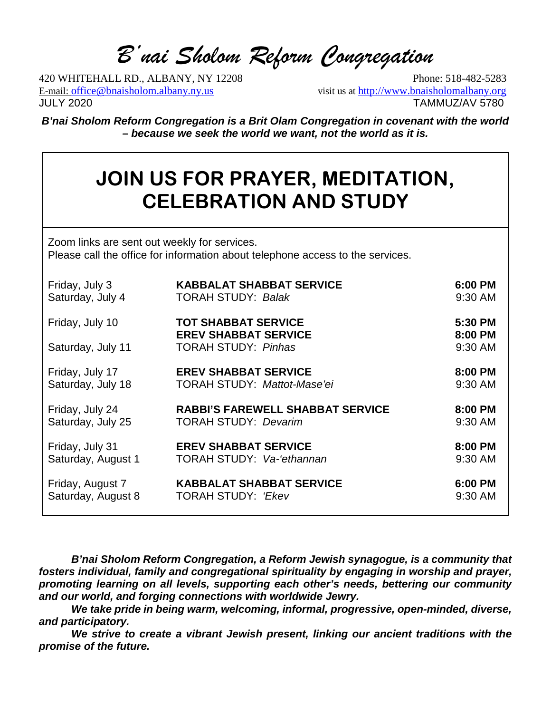*B'nai Sholom Reform Congregation*

420 WHITEHALL RD., ALBANY, NY 12208 Phone: 518-482-5283 E-mail: [office@bnaisholom.albany.ny.us](about:blank) visit us at [http://www.bnaisholomalbany.org](about:blank) JULY 2020 TAMMUZ/AV 5780

*B'nai Sholom Reform Congregation is a Brit Olam Congregation in covenant with the world – because we seek the world we want, not the world as it is.*

## **JOIN US FOR PRAYER, MEDITATION, CELEBRATION AND STUDY**

Zoom links are sent out weekly for services. Please call the office for information about telephone access to the services.

| Friday, July 3     | <b>KABBALAT SHABBAT SERVICE</b>                           | 6:00 PM            |
|--------------------|-----------------------------------------------------------|--------------------|
| Saturday, July 4   | <b>TORAH STUDY: Balak</b>                                 | 9:30 AM            |
| Friday, July 10    | <b>TOT SHABBAT SERVICE</b><br><b>EREV SHABBAT SERVICE</b> | 5:30 PM<br>8:00 PM |
| Saturday, July 11  | <b>TORAH STUDY: Pinhas</b>                                | 9:30 AM            |
| Friday, July 17    | <b>EREV SHABBAT SERVICE</b>                               | 8:00 PM            |
| Saturday, July 18  | <b>TORAH STUDY: Mattot-Mase'ei</b>                        | 9:30 AM            |
| Friday, July 24    | <b>RABBI'S FAREWELL SHABBAT SERVICE</b>                   | 8:00 PM            |
| Saturday, July 25  | <b>TORAH STUDY: Devarim</b>                               | 9:30 AM            |
| Friday, July 31    | <b>EREV SHABBAT SERVICE</b>                               | 8:00 PM            |
| Saturday, August 1 | <b>TORAH STUDY: Va-'ethannan</b>                          | 9:30 AM            |
| Friday, August 7   | <b>KABBALAT SHABBAT SERVICE</b>                           | 6:00 PM            |
| Saturday, August 8 | <b>TORAH STUDY: 'Ekev</b>                                 | 9:30 AM            |

*B'nai Sholom Reform Congregation, a Reform Jewish synagogue, is a community that fosters individual, family and congregational spirituality by engaging in worship and prayer, promoting learning on all levels, supporting each other's needs, bettering our community and our world, and forging connections with worldwide Jewry.*

*We take pride in being warm, welcoming, informal, progressive, open-minded, diverse, and participatory.*

*We strive to create a vibrant Jewish present, linking our ancient traditions with the promise of the future.*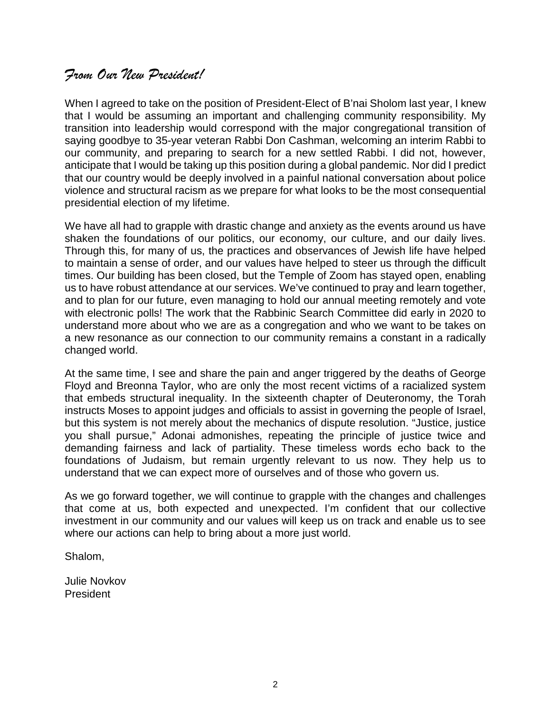### *From Our New President!*

When I agreed to take on the position of President-Elect of B'nai Sholom last year, I knew that I would be assuming an important and challenging community responsibility. My transition into leadership would correspond with the major congregational transition of saying goodbye to 35-year veteran Rabbi Don Cashman, welcoming an interim Rabbi to our community, and preparing to search for a new settled Rabbi. I did not, however, anticipate that I would be taking up this position during a global pandemic. Nor did I predict that our country would be deeply involved in a painful national conversation about police violence and structural racism as we prepare for what looks to be the most consequential presidential election of my lifetime.

We have all had to grapple with drastic change and anxiety as the events around us have shaken the foundations of our politics, our economy, our culture, and our daily lives. Through this, for many of us, the practices and observances of Jewish life have helped to maintain a sense of order, and our values have helped to steer us through the difficult times. Our building has been closed, but the Temple of Zoom has stayed open, enabling us to have robust attendance at our services. We've continued to pray and learn together, and to plan for our future, even managing to hold our annual meeting remotely and vote with electronic polls! The work that the Rabbinic Search Committee did early in 2020 to understand more about who we are as a congregation and who we want to be takes on a new resonance as our connection to our community remains a constant in a radically changed world.

At the same time, I see and share the pain and anger triggered by the deaths of George Floyd and Breonna Taylor, who are only the most recent victims of a racialized system that embeds structural inequality. In the sixteenth chapter of Deuteronomy, the Torah instructs Moses to appoint judges and officials to assist in governing the people of Israel, but this system is not merely about the mechanics of dispute resolution. "Justice, justice you shall pursue," Adonai admonishes, repeating the principle of justice twice and demanding fairness and lack of partiality. These timeless words echo back to the foundations of Judaism, but remain urgently relevant to us now. They help us to understand that we can expect more of ourselves and of those who govern us.

As we go forward together, we will continue to grapple with the changes and challenges that come at us, both expected and unexpected. I'm confident that our collective investment in our community and our values will keep us on track and enable us to see where our actions can help to bring about a more just world.

Shalom,

Julie Novkov President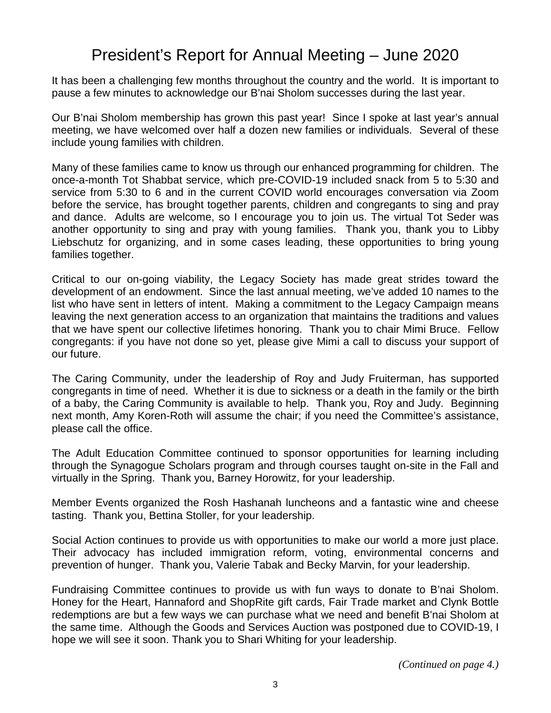### President's Report for Annual Meeting – June 2020

It has been a challenging few months throughout the country and the world. It is important to pause a few minutes to acknowledge our B'nai Sholom successes during the last year.

Our B'nai Sholom membership has grown this past year! Since I spoke at last year's annual meeting, we have welcomed over half a dozen new families or individuals. Several of these include young families with children.

Many of these families came to know us through our enhanced programming for children. The once-a-month Tot Shabbat service, which pre-COVID-19 included snack from 5 to 5:30 and service from 5:30 to 6 and in the current COVID world encourages conversation via Zoom before the service, has brought together parents, children and congregants to sing and pray and dance. Adults are welcome, so I encourage you to join us. The virtual Tot Seder was another opportunity to sing and pray with young families. Thank you, thank you to Libby Liebschutz for organizing, and in some cases leading, these opportunities to bring young families together.

Critical to our on-going viability, the Legacy Society has made great strides toward the development of an endowment. Since the last annual meeting, we've added 10 names to the list who have sent in letters of intent. Making a commitment to the Legacy Campaign means leaving the next generation access to an organization that maintains the traditions and values that we have spent our collective lifetimes honoring. Thank you to chair Mimi Bruce. Fellow congregants: if you have not done so yet, please give Mimi a call to discuss your support of our future.

The Caring Community, under the leadership of Roy and Judy Fruiterman, has supported congregants in time of need. Whether it is due to sickness or a death in the family or the birth of a baby, the Caring Community is available to help. Thank you, Roy and Judy. Beginning next month, Amy Koren-Roth will assume the chair; if you need the Committee's assistance, please call the office.

The Adult Education Committee continued to sponsor opportunities for learning including through the Synagogue Scholars program and through courses taught on-site in the Fall and virtually in the Spring. Thank you, Barney Horowitz, for your leadership.

Member Events organized the Rosh Hashanah luncheons and a fantastic wine and cheese tasting. Thank you, Bettina Stoller, for your leadership.

Social Action continues to provide us with opportunities to make our world a more just place. Their advocacy has included immigration reform, voting, environmental concerns and prevention of hunger. Thank you, Valerie Tabak and Becky Marvin, for your leadership.

Fundraising Committee continues to provide us with fun ways to donate to B'nai Sholom. Honey for the Heart, Hannaford and ShopRite gift cards, Fair Trade market and Clynk Bottle redemptions are but a few ways we can purchase what we need and benefit B'nai Sholom at the same time. Although the Goods and Services Auction was postponed due to COVID-19, I hope we will see it soon. Thank you to Shari Whiting for your leadership.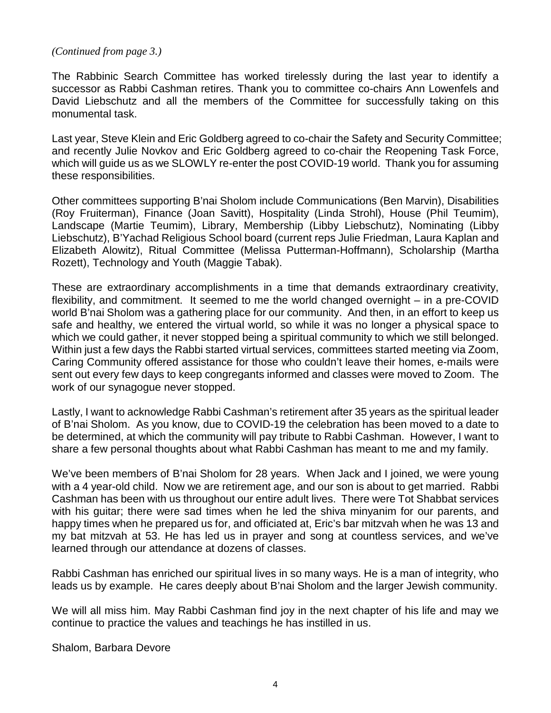#### *(Continued from page 3.)*

The Rabbinic Search Committee has worked tirelessly during the last year to identify a successor as Rabbi Cashman retires. Thank you to committee co-chairs Ann Lowenfels and David Liebschutz and all the members of the Committee for successfully taking on this monumental task.

Last year, Steve Klein and Eric Goldberg agreed to co-chair the Safety and Security Committee; and recently Julie Novkov and Eric Goldberg agreed to co-chair the Reopening Task Force, which will guide us as we SLOWLY re-enter the post COVID-19 world. Thank you for assuming these responsibilities.

Other committees supporting B'nai Sholom include Communications (Ben Marvin), Disabilities (Roy Fruiterman), Finance (Joan Savitt), Hospitality (Linda Strohl), House (Phil Teumim), Landscape (Martie Teumim), Library, Membership (Libby Liebschutz), Nominating (Libby Liebschutz), B'Yachad Religious School board (current reps Julie Friedman, Laura Kaplan and Elizabeth Alowitz), Ritual Committee (Melissa Putterman-Hoffmann), Scholarship (Martha Rozett), Technology and Youth (Maggie Tabak).

These are extraordinary accomplishments in a time that demands extraordinary creativity, flexibility, and commitment. It seemed to me the world changed overnight – in a pre-COVID world B'nai Sholom was a gathering place for our community. And then, in an effort to keep us safe and healthy, we entered the virtual world, so while it was no longer a physical space to which we could gather, it never stopped being a spiritual community to which we still belonged. Within just a few days the Rabbi started virtual services, committees started meeting via Zoom, Caring Community offered assistance for those who couldn't leave their homes, e-mails were sent out every few days to keep congregants informed and classes were moved to Zoom. The work of our synagogue never stopped.

Lastly, I want to acknowledge Rabbi Cashman's retirement after 35 years as the spiritual leader of B'nai Sholom. As you know, due to COVID-19 the celebration has been moved to a date to be determined, at which the community will pay tribute to Rabbi Cashman. However, I want to share a few personal thoughts about what Rabbi Cashman has meant to me and my family.

We've been members of B'nai Sholom for 28 years. When Jack and I joined, we were young with a 4 year-old child. Now we are retirement age, and our son is about to get married. Rabbi Cashman has been with us throughout our entire adult lives. There were Tot Shabbat services with his guitar; there were sad times when he led the shiva minyanim for our parents, and happy times when he prepared us for, and officiated at, Eric's bar mitzvah when he was 13 and my bat mitzvah at 53. He has led us in prayer and song at countless services, and we've learned through our attendance at dozens of classes.

Rabbi Cashman has enriched our spiritual lives in so many ways. He is a man of integrity, who leads us by example. He cares deeply about B'nai Sholom and the larger Jewish community.

We will all miss him. May Rabbi Cashman find joy in the next chapter of his life and may we continue to practice the values and teachings he has instilled in us.

Shalom, Barbara Devore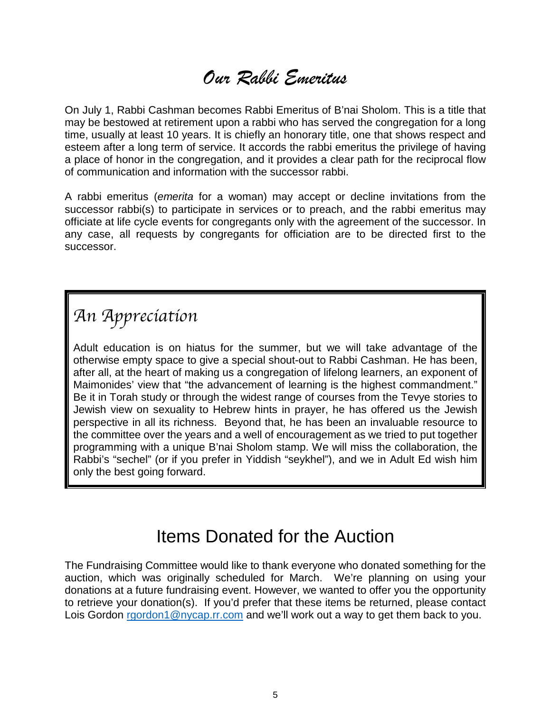*Our Rabbi Emeritus*

On July 1, Rabbi Cashman becomes Rabbi Emeritus of B'nai Sholom. This is a title that may be bestowed at retirement upon a rabbi who has served the congregation for a long time, usually at least 10 years. It is chiefly an honorary title, one that shows respect and esteem after a long term of service. It accords the rabbi emeritus the privilege of having a place of honor in the congregation, and it provides a clear path for the reciprocal flow of communication and information with the successor rabbi.

A rabbi emeritus (*emerita* for a woman) may accept or decline invitations from the successor rabbi(s) to participate in services or to preach, and the rabbi emeritus may officiate at life cycle events for congregants only with the agreement of the successor. In any case, all requests by congregants for officiation are to be directed first to the successor.

## *An Appreciation*

Adult education is on hiatus for the summer, but we will take advantage of the otherwise empty space to give a special shout-out to Rabbi Cashman. He has been, after all, at the heart of making us a congregation of lifelong learners, an exponent of Maimonides' view that "the advancement of learning is the highest commandment." Be it in Torah study or through the widest range of courses from the Tevye stories to Jewish view on sexuality to Hebrew hints in prayer, he has offered us the Jewish perspective in all its richness. Beyond that, he has been an invaluable resource to the committee over the years and a well of encouragement as we tried to put together programming with a unique B'nai Sholom stamp. We will miss the collaboration, the Rabbi's "sechel" (or if you prefer in Yiddish "seykhel"), and we in Adult Ed wish him only the best going forward.

## Items Donated for the Auction

The Fundraising Committee would like to thank everyone who donated something for the auction, which was originally scheduled for March. We're planning on using your donations at a future fundraising event. However, we wanted to offer you the opportunity to retrieve your donation(s). If you'd prefer that these items be returned, please contact Lois Gordon [rgordon1@nycap.rr.com](mailto:rgordon1@nycap.rr.com) and we'll work out a way to get them back to you.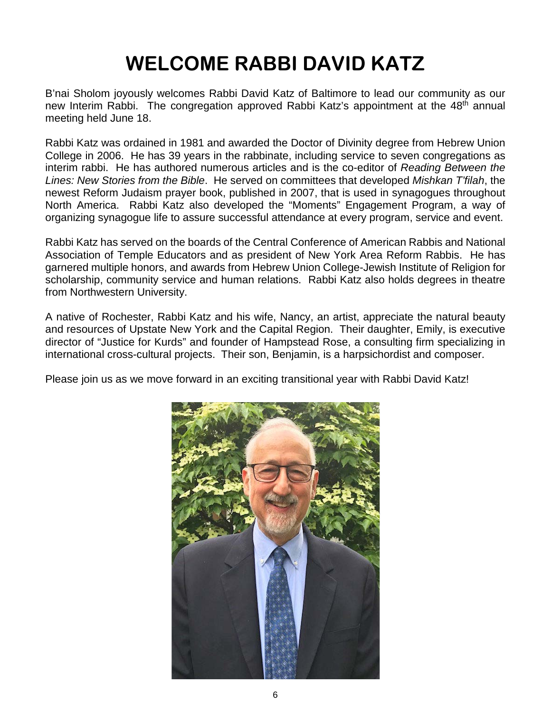# **WELCOME RABBI DAVID KATZ**

B'nai Sholom joyously welcomes Rabbi David Katz of Baltimore to lead our community as our new Interim Rabbi. The congregation approved Rabbi Katz's appointment at the 48<sup>th</sup> annual meeting held June 18.

Rabbi Katz was ordained in 1981 and awarded the Doctor of Divinity degree from Hebrew Union College in 2006. He has 39 years in the rabbinate, including service to seven congregations as interim rabbi. He has authored numerous articles and is the co-editor of *Reading Between the Lines: New Stories from the Bible*. He served on committees that developed *Mishkan T'filah*, the newest Reform Judaism prayer book, published in 2007, that is used in synagogues throughout North America. Rabbi Katz also developed the "Moments" Engagement Program, a way of organizing synagogue life to assure successful attendance at every program, service and event.

Rabbi Katz has served on the boards of the Central Conference of American Rabbis and National Association of Temple Educators and as president of New York Area Reform Rabbis. He has garnered multiple honors, and awards from Hebrew Union College-Jewish Institute of Religion for scholarship, community service and human relations. Rabbi Katz also holds degrees in theatre from Northwestern University.

A native of Rochester, Rabbi Katz and his wife, Nancy, an artist, appreciate the natural beauty and resources of Upstate New York and the Capital Region. Their daughter, Emily, is executive director of "Justice for Kurds" and founder of Hampstead Rose, a consulting firm specializing in international cross-cultural projects. Their son, Benjamin, is a harpsichordist and composer.

Please join us as we move forward in an exciting transitional year with Rabbi David Katz!

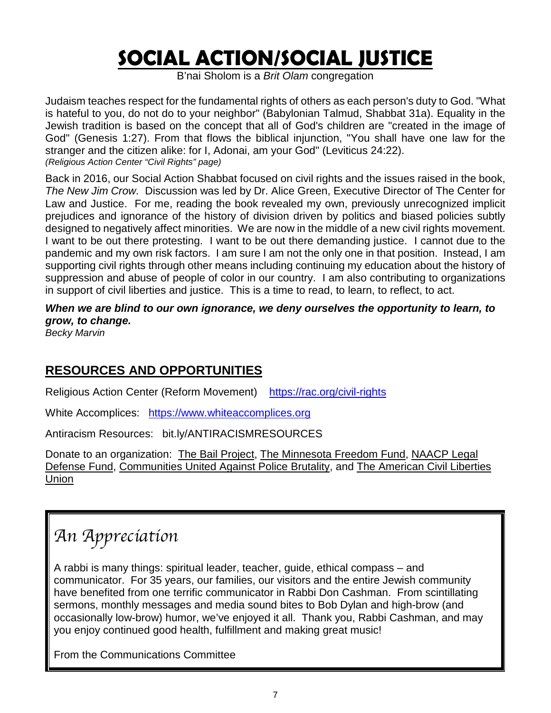# **SOCIAL ACTION/SOCIAL JUSTICE**

B'nai Sholom is a *Brit Olam* congregation

Judaism teaches respect for the fundamental rights of others as each person's duty to God. "What is hateful to you, do not do to your neighbor" (Babylonian Talmud, Shabbat 31a). Equality in the Jewish tradition is based on the concept that all of God's children are "created in the image of God" (Genesis 1:27). From that flows the biblical injunction, "You shall have one law for the stranger and the citizen alike: for I, Adonai, am your God" (Leviticus 24:22). *(Religious Action Center "Civil Rights" page)*

Back in 2016, our Social Action Shabbat focused on civil rights and the issues raised in the book, *The New Jim Crow.* Discussion was led by Dr. Alice Green, Executive Director of The Center for Law and Justice. For me, reading the book revealed my own, previously unrecognized implicit prejudices and ignorance of the history of division driven by politics and biased policies subtly designed to negatively affect minorities. We are now in the middle of a new civil rights movement. I want to be out there protesting. I want to be out there demanding justice. I cannot due to the pandemic and my own risk factors. I am sure I am not the only one in that position. Instead, I am supporting civil rights through other means including continuing my education about the history of suppression and abuse of people of color in our country. I am also contributing to organizations in support of civil liberties and justice. This is a time to read, to learn, to reflect, to act.

*When we are blind to our own ignorance, we deny ourselves the opportunity to learn, to grow, to change.*

*Becky Marvin*

### **RESOURCES AND OPPORTUNITIES**

Religious Action Center (Reform Movement) <https://rac.org/civil-rights>

White Accomplices: [https://www.whiteaccomplices.org](https://www.whiteaccomplices.org/)

Antiracism Resources: bit.ly/ANTIRACISMRESOURCES

Donate to an organization: [The Bail Project,](https://bailproject.org/) [The Minnesota Freedom Fund,](https://minnesotafreedomfund.org/bailbondfaq) [NAACP Legal](https://www.naacpldf.org/about-us/)  [Defense Fund,](https://www.naacpldf.org/about-us/) [Communities United Against Police Brutality,](https://www.cuapb.org/what_we_do) and [The American Civil Liberties](https://www.aclu.org/donate-aclu?ms=web_horiz_nav_hp)  [Union](https://www.aclu.org/donate-aclu?ms=web_horiz_nav_hp)

# *An Appreciation*

A rabbi is many things: spiritual leader, teacher, guide, ethical compass – and communicator. For 35 years, our families, our visitors and the entire Jewish community have benefited from one terrific communicator in Rabbi Don Cashman. From scintillating sermons, monthly messages and media sound bites to Bob Dylan and high-brow (and occasionally low-brow) humor, we've enjoyed it all. Thank you, Rabbi Cashman, and may you enjoy continued good health, fulfillment and making great music!

From the Communications Committee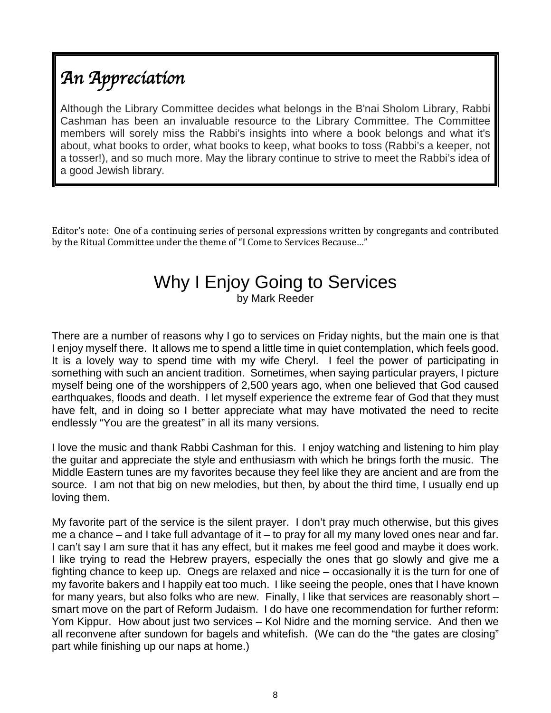# *An Appreciation*

Although the Library Committee decides what belongs in the B'nai Sholom Library, Rabbi Cashman has been an invaluable resource to the Library Committee. The Committee members will sorely miss the Rabbi's insights into where a book belongs and what it's about, what books to order, what books to keep, what books to toss (Rabbi's a keeper, not a tosser!), and so much more. May the library continue to strive to meet the Rabbi's idea of a good Jewish library.

Editor's note: One of a continuing series of personal expressions written by congregants and contributed by the Ritual Committee under the theme of "I Come to Services Because…"

## Why I Enjoy Going to Services

by Mark Reeder

There are a number of reasons why I go to services on Friday nights, but the main one is that I enjoy myself there. It allows me to spend a little time in quiet contemplation, which feels good. It is a lovely way to spend time with my wife Cheryl. I feel the power of participating in something with such an ancient tradition. Sometimes, when saying particular prayers, I picture myself being one of the worshippers of 2,500 years ago, when one believed that God caused earthquakes, floods and death. I let myself experience the extreme fear of God that they must have felt, and in doing so I better appreciate what may have motivated the need to recite endlessly "You are the greatest" in all its many versions.

I love the music and thank Rabbi Cashman for this. I enjoy watching and listening to him play the guitar and appreciate the style and enthusiasm with which he brings forth the music. The Middle Eastern tunes are my favorites because they feel like they are ancient and are from the source. I am not that big on new melodies, but then, by about the third time, I usually end up loving them.

My favorite part of the service is the silent prayer. I don't pray much otherwise, but this gives me a chance – and I take full advantage of it – to pray for all my many loved ones near and far. I can't say I am sure that it has any effect, but it makes me feel good and maybe it does work. I like trying to read the Hebrew prayers, especially the ones that go slowly and give me a fighting chance to keep up. Onegs are relaxed and nice – occasionally it is the turn for one of my favorite bakers and I happily eat too much. I like seeing the people, ones that I have known for many years, but also folks who are new. Finally, I like that services are reasonably short – smart move on the part of Reform Judaism. I do have one recommendation for further reform: Yom Kippur. How about just two services – Kol Nidre and the morning service. And then we all reconvene after sundown for bagels and whitefish. (We can do the "the gates are closing" part while finishing up our naps at home.)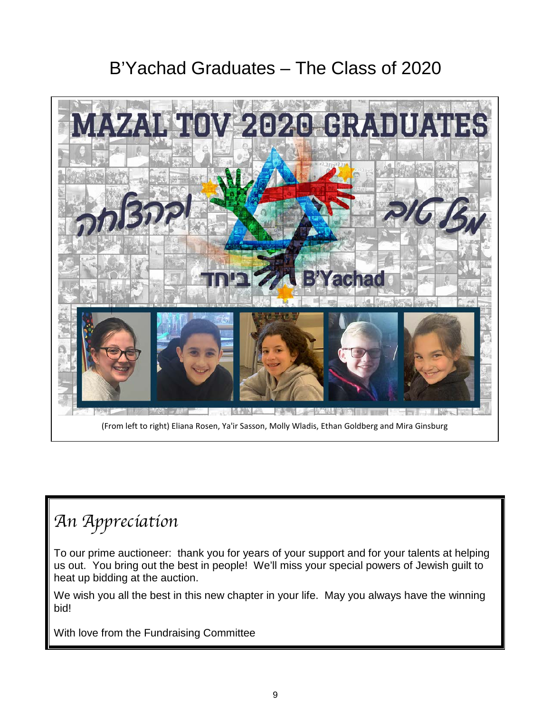## B'Yachad Graduates – The Class of 2020



# *An Appreciation*

To our prime auctioneer: thank you for years of your support and for your talents at helping us out. You bring out the best in people! We'll miss your special powers of Jewish guilt to heat up bidding at the auction.

We wish you all the best in this new chapter in your life. May you always have the winning bid!

With love from the Fundraising Committee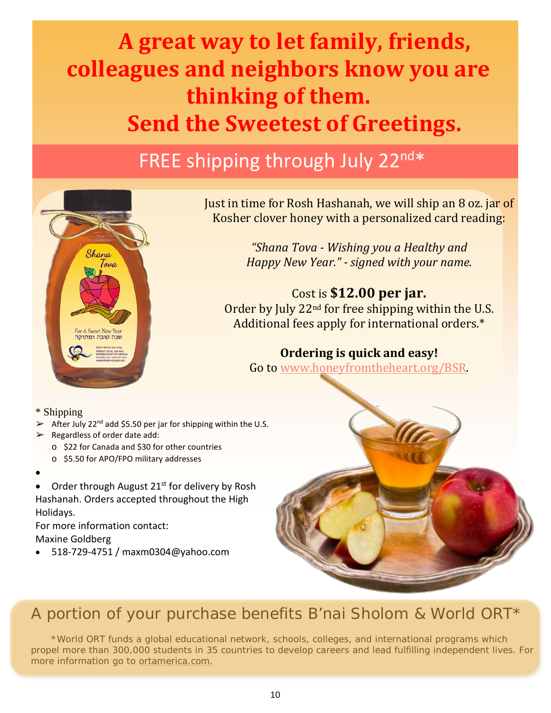# **A great way to let family, friends, colleagues and neighbors know you are thinking of them. Send the Sweetest of Greetings.**

# FREE shipping through July 22nd\*



Just in time for Rosh Hashanah, we will ship an 8 oz. jar of Kosher clover honey with a personalized card reading:

> *"Shana Tova - Wishing you a Healthy and Happy New Year." - signed with your name.*

### Cost is **\$12.00 per jar.**

Order by July 22<sup>nd</sup> for free shipping within the U.S. Additional fees apply for international orders.\*

**Ordering is quick and easy!**

Go to www.honeyfromtheheart.org/BSR.

\* Shipping

- $\geq$  After July 22<sup>nd</sup> add \$5.50 per jar for shipping within the U.S.
- $\triangleright$  Regardless of order date add:
	- o \$22 for Canada and \$30 for other countries
	- o \$5.50 for APO/FPO military addresses
- •
- Order through August 21<sup>st</sup> for delivery by Rosh Hashanah. Orders accepted throughout the High Holidays.

For more information contact: Maxine Goldberg

• 518-729-4751 / maxm0304@yahoo.com



### A portion of your purchase benefits B'nai Sholom & World ORT\*

\*World ORT funds a global educational network, schools, colleges, and international programs which propel more than 300,000 students in 35 countries to develop careers and lead fulfilling independent lives. For more information go to ortamerica.com.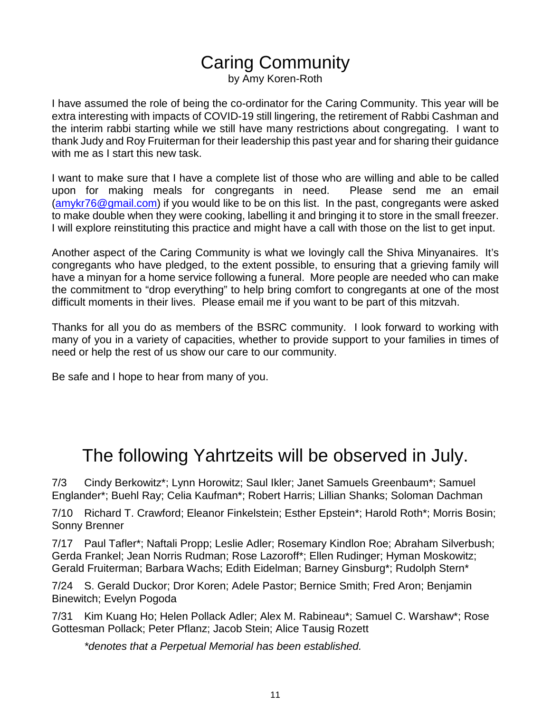## Caring Community

by Amy Koren-Roth

I have assumed the role of being the co-ordinator for the Caring Community. This year will be extra interesting with impacts of COVID-19 still lingering, the retirement of Rabbi Cashman and the interim rabbi starting while we still have many restrictions about congregating. I want to thank Judy and Roy Fruiterman for their leadership this past year and for sharing their guidance with me as I start this new task.

I want to make sure that I have a complete list of those who are willing and able to be called upon for making meals for congregants in need. Please send me an email [\(amykr76@gmail.com\)](mailto:amykr76@gmail.com) if you would like to be on this list. In the past, congregants were asked to make double when they were cooking, labelling it and bringing it to store in the small freezer. I will explore reinstituting this practice and might have a call with those on the list to get input.

Another aspect of the Caring Community is what we lovingly call the Shiva Minyanaires. It's congregants who have pledged, to the extent possible, to ensuring that a grieving family will have a minyan for a home service following a funeral. More people are needed who can make the commitment to "drop everything" to help bring comfort to congregants at one of the most difficult moments in their lives. Please email me if you want to be part of this mitzvah.

Thanks for all you do as members of the BSRC community. I look forward to working with many of you in a variety of capacities, whether to provide support to your families in times of need or help the rest of us show our care to our community.

Be safe and I hope to hear from many of you.

## The following Yahrtzeits will be observed in July.

7/3 Cindy Berkowitz\*; Lynn Horowitz; Saul Ikler; Janet Samuels Greenbaum\*; Samuel Englander\*; Buehl Ray; Celia Kaufman\*; Robert Harris; Lillian Shanks; Soloman Dachman

7/10 Richard T. Crawford; Eleanor Finkelstein; Esther Epstein\*; Harold Roth\*; Morris Bosin; Sonny Brenner

7/17 Paul Tafler\*; Naftali Propp; Leslie Adler; Rosemary Kindlon Roe; Abraham Silverbush; Gerda Frankel; Jean Norris Rudman; Rose Lazoroff\*; Ellen Rudinger; Hyman Moskowitz; Gerald Fruiterman; Barbara Wachs; Edith Eidelman; Barney Ginsburg\*; Rudolph Stern\*

7/24 S. Gerald Duckor; Dror Koren; Adele Pastor; Bernice Smith; Fred Aron; Benjamin Binewitch; Evelyn Pogoda

7/31 Kim Kuang Ho; Helen Pollack Adler; Alex M. Rabineau\*; Samuel C. Warshaw\*; Rose Gottesman Pollack; Peter Pflanz; Jacob Stein; Alice Tausig Rozett

*\*denotes that a Perpetual Memorial has been established.*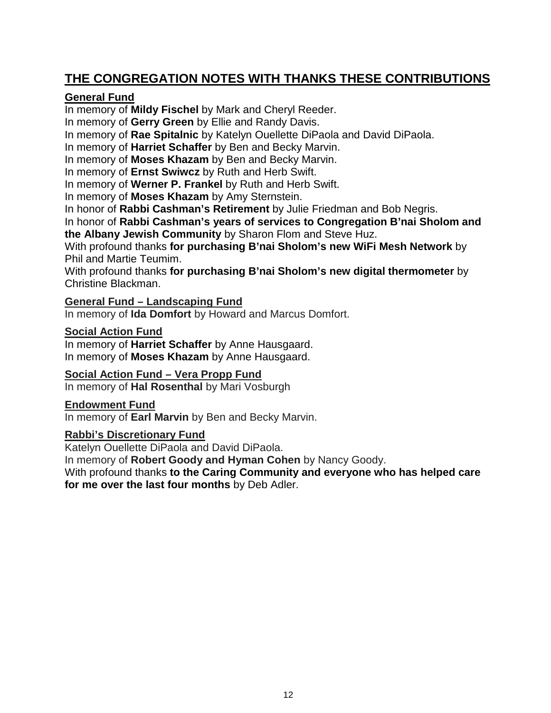### **THE CONGREGATION NOTES WITH THANKS THESE CONTRIBUTIONS**

### **General Fund**

In memory of **Mildy Fischel** by Mark and Cheryl Reeder.

In memory of **Gerry Green** by Ellie and Randy Davis.

In memory of **Rae Spitalnic** by Katelyn Ouellette DiPaola and David DiPaola.

In memory of **Harriet Schaffer** by Ben and Becky Marvin.

In memory of **Moses Khazam** by Ben and Becky Marvin.

In memory of **Ernst Swiwcz** by Ruth and Herb Swift.

In memory of **Werner P. Frankel** by Ruth and Herb Swift.

In memory of **Moses Khazam** by Amy Sternstein.

In honor of **Rabbi Cashman's Retirement** by Julie Friedman and Bob Negris.

In honor of **Rabbi Cashman's years of services to Congregation B'nai Sholom and the Albany Jewish Community** by Sharon Flom and Steve Huz.

With profound thanks **for purchasing B'nai Sholom's new WiFi Mesh Network** by Phil and Martie Teumim.

With profound thanks **for purchasing B'nai Sholom's new digital thermometer** by Christine Blackman.

**General Fund – Landscaping Fund**

In memory of **Ida Domfort** by Howard and Marcus Domfort.

#### **Social Action Fund**

In memory of **Harriet Schaffer** by Anne Hausgaard. In memory of **Moses Khazam** by Anne Hausgaard.

### **Social Action Fund – Vera Propp Fund**

In memory of **Hal Rosenthal** by Mari Vosburgh

### **Endowment Fund**

In memory of **Earl Marvin** by Ben and Becky Marvin.

### **Rabbi's Discretionary Fund**

Katelyn Ouellette DiPaola and David DiPaola.

In memory of **Robert Goody and Hyman Cohen** by Nancy Goody.

With profound thanks **to the Caring Community and everyone who has helped care for me over the last four months** by Deb Adler.